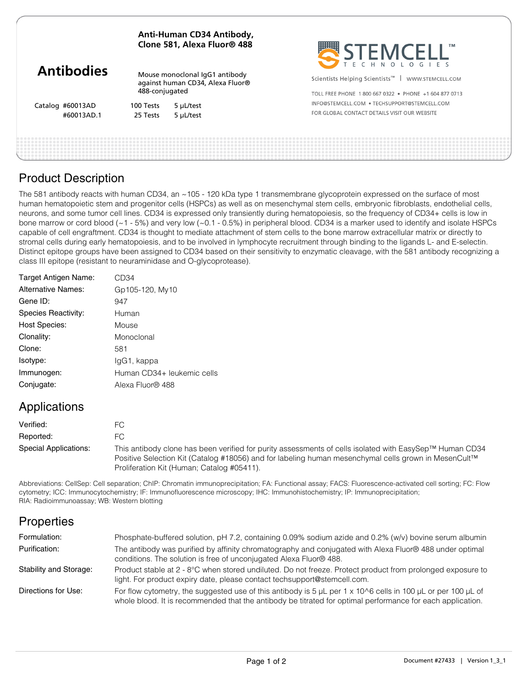| Mouse monoclonal IgG1 antibody<br>Scientists Helping Scientists <sup>™</sup><br>WWW.STEMCELL.COM<br>against human CD34, Alexa Fluor®<br>488-conjugated<br>TOLL FREE PHONE 1800 667 0322 · PHONE +1 604 877 0713<br>INFO@STEMCELL.COM • TECHSUPPORT@STEMCELL.COM<br>Catalog #60013AD<br>100 Tests<br>5 µL/test<br>FOR GLOBAL CONTACT DETAILS VISIT OUR WEBSITE<br>#60013AD.1<br>25 Tests<br>5 µL/test |                   |  | Anti-Human CD34 Antibody,<br>Clone 581, Alexa Fluor® 488 | STEMCELL' |
|------------------------------------------------------------------------------------------------------------------------------------------------------------------------------------------------------------------------------------------------------------------------------------------------------------------------------------------------------------------------------------------------------|-------------------|--|----------------------------------------------------------|-----------|
|                                                                                                                                                                                                                                                                                                                                                                                                      | <b>Antibodies</b> |  |                                                          |           |
|                                                                                                                                                                                                                                                                                                                                                                                                      |                   |  |                                                          |           |
|                                                                                                                                                                                                                                                                                                                                                                                                      |                   |  |                                                          |           |
|                                                                                                                                                                                                                                                                                                                                                                                                      |                   |  |                                                          |           |
|                                                                                                                                                                                                                                                                                                                                                                                                      |                   |  |                                                          |           |

### Product Description

The 581 antibody reacts with human CD34, an ~105 - 120 kDa type 1 transmembrane glycoprotein expressed on the surface of most human hematopoietic stem and progenitor cells (HSPCs) as well as on mesenchymal stem cells, embryonic fibroblasts, endothelial cells, neurons, and some tumor cell lines. CD34 is expressed only transiently during hematopoiesis, so the frequency of CD34+ cells is low in bone marrow or cord blood (~1 - 5%) and very low (~0.1 - 0.5%) in peripheral blood. CD34 is a marker used to identify and isolate HSPCs capable of cell engraftment. CD34 is thought to mediate attachment of stem cells to the bone marrow extracellular matrix or directly to stromal cells during early hematopoiesis, and to be involved in lymphocyte recruitment through binding to the ligands L- and E-selectin. Distinct epitope groups have been assigned to CD34 based on their sensitivity to enzymatic cleavage, with the 581 antibody recognizing a class III epitope (resistant to neuraminidase and O-glycoprotease).

| Target Antigen Name:      | CD34                       |
|---------------------------|----------------------------|
| <b>Alternative Names:</b> | Gp105-120, My10            |
| Gene ID:                  | 947                        |
| Species Reactivity:       | Human                      |
| <b>Host Species:</b>      | Mouse                      |
| Clonality:                | Monoclonal                 |
| Clone:                    | 581                        |
| Isotype:                  | IgG1, kappa                |
| Immunogen:                | Human CD34+ leukemic cells |
| Conjugate:                | Alexa Fluor® 488           |
|                           |                            |

### Applications

| Verified:             | FC.                                                                                                                                                                                                                                                           |
|-----------------------|---------------------------------------------------------------------------------------------------------------------------------------------------------------------------------------------------------------------------------------------------------------|
| Reported:             | FC.                                                                                                                                                                                                                                                           |
| Special Applications: | This antibody clone has been verified for purity assessments of cells isolated with EasySep™ Human CD34<br>Positive Selection Kit (Catalog #18056) and for labeling human mesenchymal cells grown in MesenCult™<br>Proliferation Kit (Human; Catalog #05411). |

Abbreviations: CellSep: Cell separation; ChIP: Chromatin immunoprecipitation; FA: Functional assay; FACS: Fluorescence-activated cell sorting; FC: Flow cytometry; ICC: Immunocytochemistry; IF: Immunofluorescence microscopy; IHC: Immunohistochemistry; IP: Immunoprecipitation; RIA: Radioimmunoassay; WB: Western blotting

## **Properties**

| Formulation:           | Phosphate-buffered solution, pH 7.2, containing 0.09% sodium azide and 0.2% (w/v) bovine serum albumin                                                                                                                                    |
|------------------------|-------------------------------------------------------------------------------------------------------------------------------------------------------------------------------------------------------------------------------------------|
| Purification:          | The antibody was purified by affinity chromatography and conjugated with Alexa Fluor® 488 under optimal<br>conditions. The solution is free of unconjugated Alexa Fluor® 488.                                                             |
| Stability and Storage: | Product stable at 2 - 8°C when stored undiluted. Do not freeze. Protect product from prolonged exposure to<br>light. For product expiry date, please contact techsupport@stemcell.com.                                                    |
| Directions for Use:    | For flow cytometry, the suggested use of this antibody is 5 $\mu$ L per 1 x 10^6 cells in 100 $\mu$ L or per 100 $\mu$ L of<br>whole blood. It is recommended that the antibody be titrated for optimal performance for each application. |